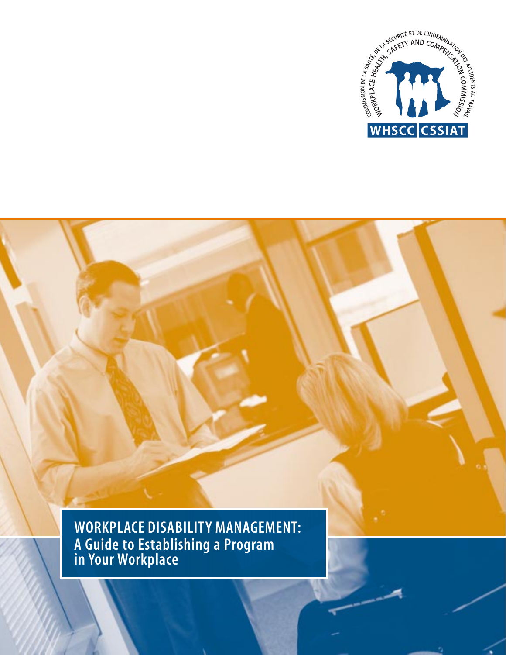

**WORKPLACE DISABILITY MANAGEMENT: A Guide to Establishing a Program in Your Workplace**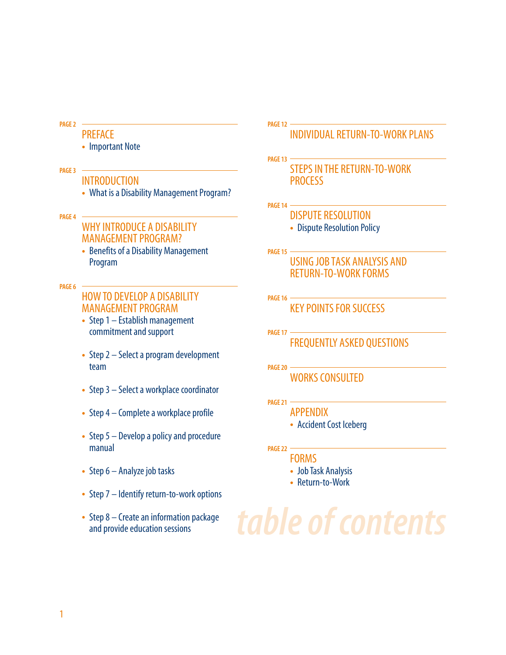#### **PAGE 2**

### PREFACE

• Important Note

#### **PAGE 3**

### INTRODUCTION

• What is a Disability Management Program?

#### **PAGE 4**

### WHY INTRODUCE A DISABILITY MANAGEMENT PROGRAM?

• Benefits of a Disability Management Program

#### **PAGE 6**

### HOW TO DEVELOP A DISABILITY MANAGEMENT PROGRAM

- Step 1 Establish management commitment and support
- Step 2 Select a program development team
- Step 3 Select a workplace coordinator
- Step 4 Complete a workplace profile
- Step 5 Develop a policy and procedure manual
- Step 6 Analyze job tasks
- Step 7 Identify return-to-work options
- Step 8 Create an information package and provide education sessions

**PAGE 12**

### INDIVIDUAL RETURN-TO-WORK PLANS

### **PAGE 13** STEPS IN THE RETURN-TO-WORK **PROCESS**

- **PAGE 14**
	- DISPUTE RESOLUTION • Dispute Resolution Policy
- **PAGE 15** USING JOB TASK ANALYSIS AND RETURN-TO-WORK FORMS
- **PAGE 16** KEY POINTS FOR SUCCESS
- **PAGE 17** FREQUENTLY ASKED QUESTIONS
- **PAGE 20** WORKS CONSULTED
- **PAGE 21**
	- APPENDIX
		- Accident Cost Iceberg
- **PAGE 22**
	- FORMS
		- Job Task Analysis
		- Return-to-Work

*table of contents*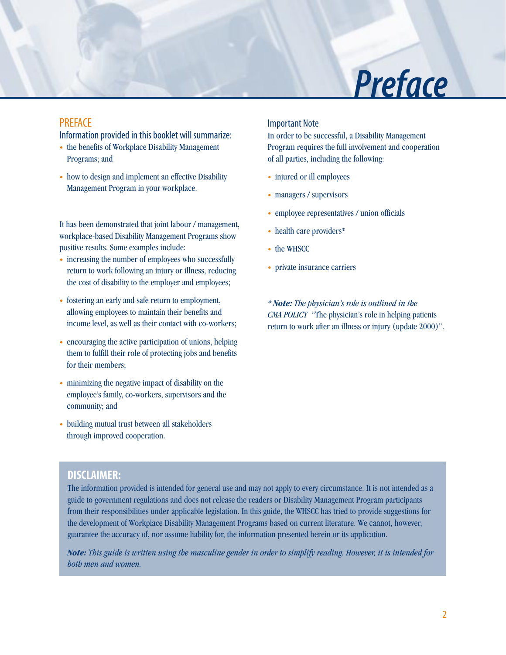## *Preface*

### **PRFFACE**

Information provided in this booklet will summarize:

- the benefits of Workplace Disability Management Programs; and
- how to design and implement an effective Disability Management Program in your workplace.

It has been demonstrated that joint labour / management, workplace-based Disability Management Programs show positive results. Some examples include:

- increasing the number of employees who successfully return to work following an injury or illness, reducing the cost of disability to the employer and employees;
- fostering an early and safe return to employment, allowing employees to maintain their benefits and income level, as well as their contact with co-workers;
- encouraging the active participation of unions, helping them to fulfill their role of protecting jobs and benefits for their members;
- minimizing the negative impact of disability on the employee's family, co-workers, supervisors and the community; and
- building mutual trust between all stakeholders through improved cooperation.

#### Important Note

In order to be successful, a Disability Management Program requires the full involvement and cooperation of all parties, including the following:

- injured or ill employees
- managers / supervisors
- employee representatives / union officials
- health care providers\*
- the WHSCC
- private insurance carriers

*\* Note: The physician's role is outlined in the CMA POLICY* "The physician's role in helping patients return to work after an illness or injury (update 2000)".

### **DISCLAIMER:**

The information provided is intended for general use and may not apply to every circumstance. It is not intended as a guide to government regulations and does not release the readers or Disability Management Program participants from their responsibilities under applicable legislation. In this guide, the WHSCC has tried to provide suggestions for the development of Workplace Disability Management Programs based on current literature. We cannot, however, guarantee the accuracy of, nor assume liability for, the information presented herein or its application.

*Note: This guide is written using the masculine gender in order to simplify reading. However, it is intended for both men and women.*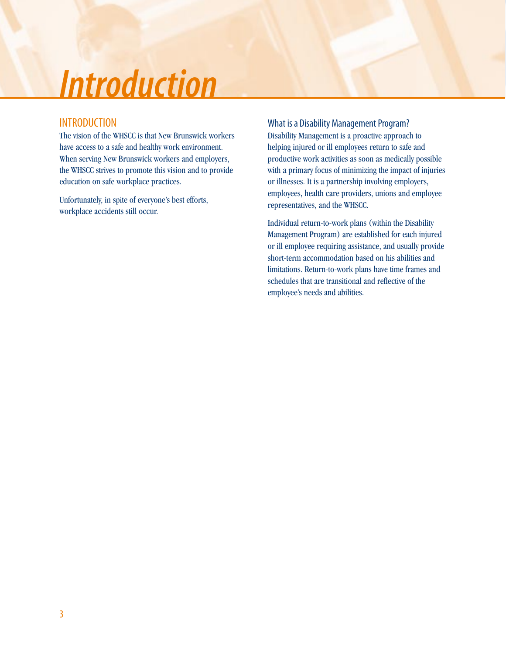## *Introduction*

### INTRODUCTION

The vision of the WHSCC is that New Brunswick workers have access to a safe and healthy work environment. When serving New Brunswick workers and employers, the WHSCC strives to promote this vision and to provide education on safe workplace practices.

Unfortunately, in spite of everyone's best efforts, workplace accidents still occur.

What is a Disability Management Program? Disability Management is a proactive approach to helping injured or ill employees return to safe and productive work activities as soon as medically possible with a primary focus of minimizing the impact of injuries or illnesses. It is a partnership involving employers, employees, health care providers, unions and employee representatives, and the WHSCC.

Individual return-to-work plans (within the Disability Management Program) are established for each injured or ill employee requiring assistance, and usually provide short-term accommodation based on his abilities and limitations. Return-to-work plans have time frames and schedules that are transitional and reflective of the employee's needs and abilities.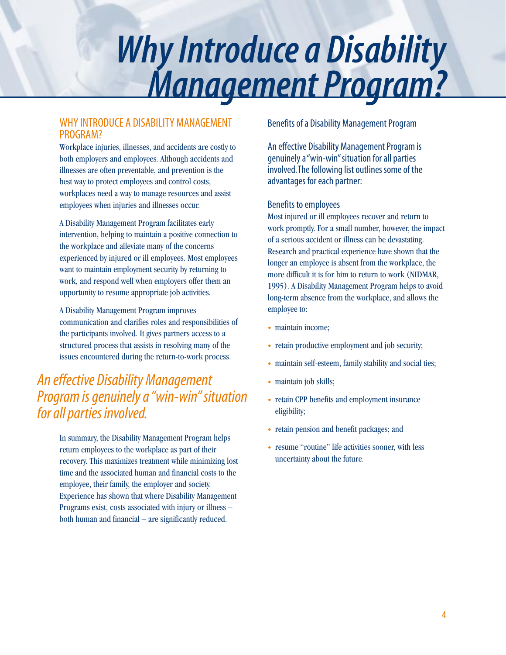## *Why Introduce a Disability Management Program?*

### WHY INTRODUCE A DISABILITY MANAGEMENT PROGRAM?

Workplace injuries, illnesses, and accidents are costly to both employers and employees. Although accidents and illnesses are often preventable, and prevention is the best way to protect employees and control costs, workplaces need a way to manage resources and assist employees when injuries and illnesses occur.

A Disability Management Program facilitates early intervention, helping to maintain a positive connection to the workplace and alleviate many of the concerns experienced by injured or ill employees. Most employees want to maintain employment security by returning to work, and respond well when employers offer them an opportunity to resume appropriate job activities.

A Disability Management Program improves communication and clarifies roles and responsibilities of the participants involved. It gives partners access to a structured process that assists in resolving many of the issues encountered during the return-to-work process.

### *An effective Disability Management Program is genuinely a "win-win" situation for all parties involved.*

In summary, the Disability Management Program helps return employees to the workplace as part of their recovery. This maximizes treatment while minimizing lost time and the associated human and financial costs to the employee, their family, the employer and society. Experience has shown that where Disability Management Programs exist, costs associated with injury or illness – both human and financial – are significantly reduced.

Benefits of a Disability Management Program

An effective Disability Management Program is genuinely a "win-win" situation for all parties involved. The following list outlines some of the advantages for each partner:

### Benefits to employees

Most injured or ill employees recover and return to work promptly. For a small number, however, the impact of a serious accident or illness can be devastating. Research and practical experience have shown that the longer an employee is absent from the workplace, the more difficult it is for him to return to work (NIDMAR, 1995). A Disability Management Program helps to avoid long-term absence from the workplace, and allows the employee to:

- maintain income;
- retain productive employment and job security;
- maintain self-esteem, family stability and social ties;
- maintain job skills;
- retain CPP benefits and employment insurance eligibility;
- retain pension and benefit packages; and
- resume "routine" life activities sooner, with less uncertainty about the future.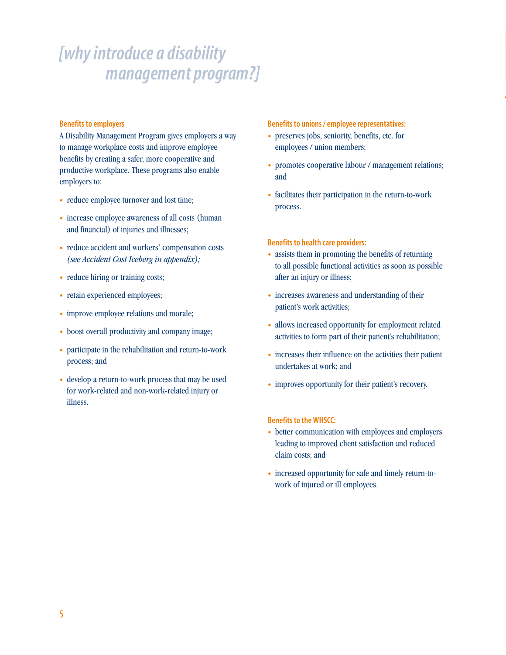### *[why introduce a disability management program?]*

#### **Benefits to employers**

A Disability Management Program gives employers a way to manage workplace costs and improve employee benefits by creating a safer, more cooperative and productive workplace. These programs also enable employers to:

- reduce employee turnover and lost time;
- increase employee awareness of all costs (human and financial) of injuries and illnesses;
- reduce accident and workers' compensation costs *(see Accident Cost Iceberg in appendix);*
- reduce hiring or training costs;
- retain experienced employees;
- improve employee relations and morale;
- boost overall productivity and company image;
- participate in the rehabilitation and return-to-work process; and
- develop a return-to-work process that may be used for work-related and non-work-related injury or illness.

#### **Benefits to unions / employee representatives:**

- preserves jobs, seniority, benefits, etc. for employees / union members;
- promotes cooperative labour / management relations; and
- facilitates their participation in the return-to-work process.

#### **Benefits to health care providers:**

- assists them in promoting the benefits of returning to all possible functional activities as soon as possible after an injury or illness;
- increases awareness and understanding of their patient's work activities;
- allows increased opportunity for employment related activities to form part of their patient's rehabilitation;
- increases their influence on the activities their patient undertakes at work; and
- improves opportunity for their patient's recovery.

#### **Benefits to the WHSCC:**

- better communication with employees and employers leading to improved client satisfaction and reduced claim costs; and
- increased opportunity for safe and timely return-towork of injured or ill employees.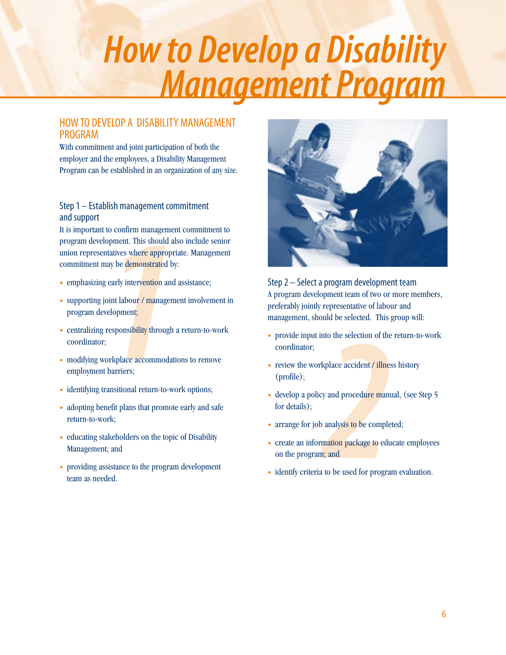# *How to Develop a Disability Management Program*

### HOW TO DEVELOP A DISABILITY MANAGEMENT PROGRAM

With commitment and joint participation of both the employer and the employees, a Disability Management Program can be established in an organization of any size.

### Step 1 – Establish management commitment and support

It is important to confirm management commitment to program development. This should also include senior union representatives where appropriate. Management commitment may be demonstrated by:

- emphasizing early intervention and assistance;
- supporting joint labour / management involvement in program development;
- centralizing responsibility through a return-to-work coordinator;
- modifying workplace accommodations to remove employment barriers;
- identifying transitional return-to-work options;
- adopting benefit plans that promote early and safe return-to-work;
- educating stakeholders on the topic of Disability Management; and
- providing assistance to the program development team as needed.



Step 2 – Select a program development team A program development team of two or more members, preferably jointly representative of labour and management, should be selected. This group will:

- provide input into the selection of the return-to-work coordinator;
- review the workplace accident / illness history (profile);
- develop a policy and procedure manual, (see Step 5) for details);
- arrange for job analysis to be completed;
- create an information package to educate employees on the program; and
- identify criteria to be used for program evaluation.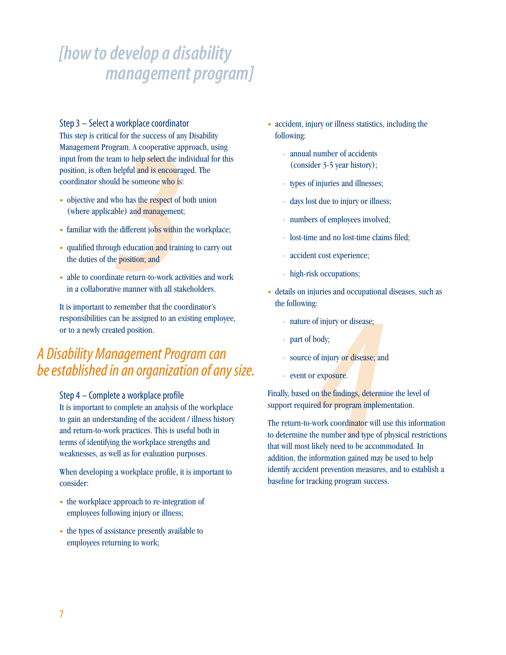### Step 3 – Select a workplace coordinator

Frame A cooperative applement of the success of any<br>gram. A cooperative applement of the phelpful and is encouraged<br>and be someone who is:<br>tho has the respect of the ble) and management;<br>e different jobs within<br>gh educatio This step is critical for the success of any Disability Management Program. A cooperative approach, using input from the team to help select the individual for this position, is often helpful and is encouraged. The coordinator should be someone who is:

- objective and who has the respect of both union (where applicable) and management;
- familiar with the different jobs within the workplace;
- qualified through education and training to carry out the duties of the position; and
- able to coordinate return-to-work activities and work in a collaborative manner with all stakeholders.

It is important to remember that the coordinator's responsibilities can be assigned to an existing employee, or to a newly created position.

### *A Disability Management Program can be established in an organization of any size.*

### Step 4 – Complete a workplace profile

It is important to complete an analysis of the workplace to gain an understanding of the accident / illness history and return-to-work practices. This is useful both in terms of identifying the workplace strengths and weaknesses, as well as for evaluation purposes.

When developing a workplace profile, it is important to consider:

- the workplace approach to re-integration of employees following injury or illness;
- the types of assistance presently available to employees returning to work;
- accident, injury or illness statistics, including the following:
	- annual number of accidents (consider 3-5 year history);
	- types of injuries and illnesses;
	- days lost due to injury or illness;
	- numbers of employees involved;
	- lost-time and no lost-time claims filed;
	- accident cost experience;
	- high-risk occupations;
- details on injuries and occupational diseases, such as the following:
	- nature of injury or disease;
	- part of body;
	- source of injury or disease; and
	- event or exposure.

Finally, based on the findings, determine the level of support required for program implementation.

*4* The return-to-work coordinator will use this information to determine the number and type of physical restrictions that will most likely need to be accommodated. In addition, the information gained may be used to help identify accident prevention measures, and to establish a baseline for tracking program success.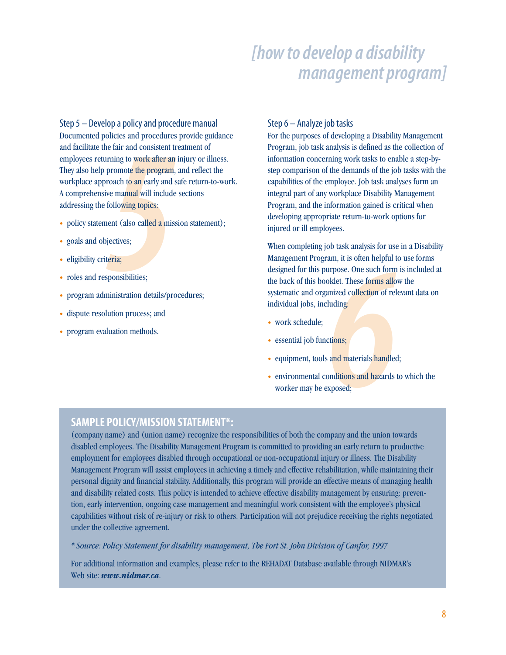France Sand procedures<br>
the fair and consistent to<br>
promote the program,<br>
promote the program,<br>
promote the program,<br>
promote the program,<br>
ive manual will include<br>
following topics:<br>
short (also called a miss<br>
pjectives;<br> Step 5 – Develop a policy and procedure manual Documented policies and procedures provide guidance and facilitate the fair and consistent treatment of employees returning to work after an injury or illness. They also help promote the program, and reflect the workplace approach to an early and safe return-to-work. A comprehensive manual will include sections addressing the following topics:

- policy statement (also called a mission statement);
- goals and objectives;
- eligibility criteria;
- roles and responsibilities;
- program administration details/procedures;
- dispute resolution process; and
- program evaluation methods.

#### Step 6 – Analyze job tasks

For the purposes of developing a Disability Management Program, job task analysis is defined as the collection of information concerning work tasks to enable a step-bystep comparison of the demands of the job tasks with the capabilities of the employee. Job task analyses form an integral part of any workplace Disability Management Program, and the information gained is critical when developing appropriate return-to-work options for injured or ill employees.

Allen in the solution of relationships and materials handled collection of relations;<br>
Fig. 3. These forms allo<br>
duding:<br>
Fig. 3. The solutions;<br>
and materials handled conditions and hazards to<br>
deconditions and hazards to When completing job task analysis for use in a Disability Management Program, it is often helpful to use forms designed for this purpose. One such form is included at the back of this booklet. These forms allow the systematic and organized collection of relevant data on individual jobs, including:

- work schedule;
- essential job functions;
- equipment, tools and materials handled;
- environmental conditions and hazards to which the worker may be exposed;

### **SAMPLE POLICY/MISSION STATEMENT\*:**

(company name) and (union name) recognize the responsibilities of both the company and the union towards disabled employees. The Disability Management Program is committed to providing an early return to productive employment for employees disabled through occupational or non-occupational injury or illness. The Disability Management Program will assist employees in achieving a timely and effective rehabilitation, while maintaining their personal dignity and financial stability. Additionally, this program will provide an effective means of managing health and disability related costs. This policy is intended to achieve effective disability management by ensuring: prevention, early intervention, ongoing case management and meaningful work consistent with the employee's physical capabilities without risk of re-injury or risk to others. Participation will not prejudice receiving the rights negotiated under the collective agreement.

*\* Source: Policy Statement for disability management, The Fort St. John Division of Canfor, 1997*

For additional information and examples, please refer to the REHADAT Database available through NIDMAR's Web site: *www.nidmar.ca*.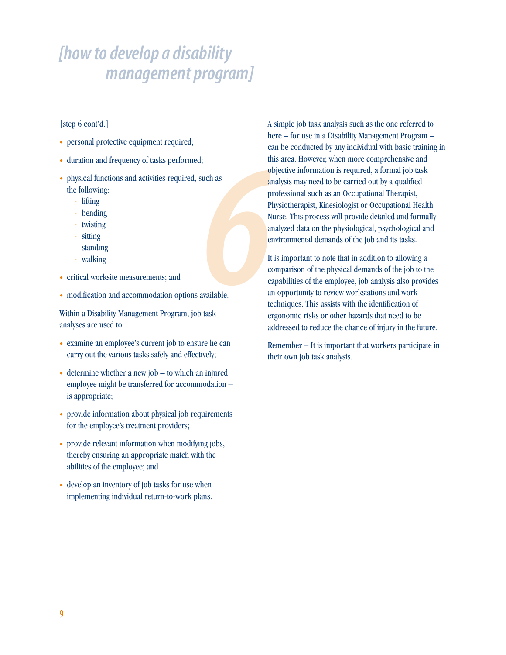### [step 6 cont'd.]

- personal protective equipment required;
- duration and frequency of tasks performed;
- physical functions and activities required, such as the following:
	- lifting
	- bending
	- twisting
	- sitting
	- standing
	- walking
- critical worksite measurements; and
- modification and accommodation options available.

Within a Disability Management Program, job task analyses are used to:

- examine an employee's current job to ensure he can carry out the various tasks safely and effectively;
- determine whether a new job to which an injured employee might be transferred for accommodation – is appropriate;
- provide information about physical job requirements for the employee's treatment providers;
- provide relevant information when modifying jobs, thereby ensuring an appropriate match with the abilities of the employee; and
- develop an inventory of job tasks for use when implementing individual return-to-work plans.

Franchise Contract of the Contract of the Contract of Contract of Contract of Contract of Contract of Contract of Contract of Contract of Contract of Contract of Contract of Contract of Contract of Contract of Contract of A simple job task analysis such as the one referred to here – for use in a Disability Management Program – can be conducted by any individual with basic training in this area. However, when more comprehensive and objective information is required, a formal job task analysis may need to be carried out by a qualified professional such as an Occupational Therapist, Physiotherapist, Kinesiologist or Occupational Health Nurse. This process will provide detailed and formally analyzed data on the physiological, psychological and environmental demands of the job and its tasks.

It is important to note that in addition to allowing a comparison of the physical demands of the job to the capabilities of the employee, job analysis also provides an opportunity to review workstations and work techniques. This assists with the identification of ergonomic risks or other hazards that need to be addressed to reduce the chance of injury in the future.

Remember – It is important that workers participate in their own job task analysis.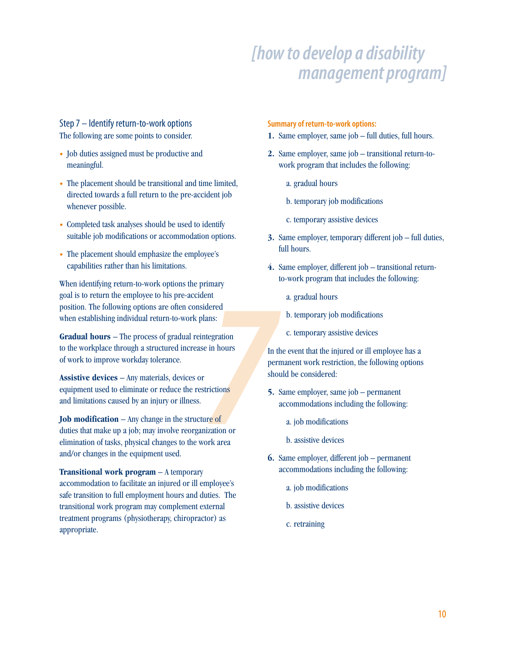### Step 7 – Identify return-to-work options The following are some points to consider.

- Job duties assigned must be productive and meaningful.
- The placement should be transitional and time limited, directed towards a full return to the pre-accident job whenever possible.
- Completed task analyses should be used to identify suitable job modifications or accommodation options.
- The placement should emphasize the employee's capabilities rather than his limitations.

When identifying return-to-work options the primary goal is to return the employee to his pre-accident position. The following options are often considered when establishing individual return-to-work plans:

**Gradual hours** – The process of gradual reintegration to the workplace through a structured increase in hours of work to improve workday tolerance.

**Assistive devices** – Any materials, devices or equipment used to eliminate or reduce the restrictions and limitations caused by an injury or illness.

*7* **Job modification** – Any change in the structure of duties that make up a job; may involve reorganization or elimination of tasks, physical changes to the work area and/or changes in the equipment used.

**Transitional work program** – A temporary accommodation to facilitate an injured or ill employee's safe transition to full employment hours and duties. The transitional work program may complement external treatment programs (physiotherapy, chiropractor) as appropriate.

#### **Summary of return-to-work options:**

- **1.** Same employer, same job full duties, full hours.
- **2.** Same employer, same job transitional return-towork program that includes the following:
	- a. gradual hours
	- b. temporary job modifications
	- c. temporary assistive devices
- **3.** Same employer, temporary different job full duties, full hours.
- **4.** Same employer, different job transitional returnto-work program that includes the following:
	- a. gradual hours
	- b. temporary job modifications
	- c. temporary assistive devices

In the event that the injured or ill employee has a permanent work restriction, the following options should be considered:

- **5.** Same employer, same job permanent accommodations including the following:
	- a. job modifications
	- b. assistive devices
- **6.** Same employer, different job permanent accommodations including the following:
	- a. job modifications
	- b. assistive devices
	- c. retraining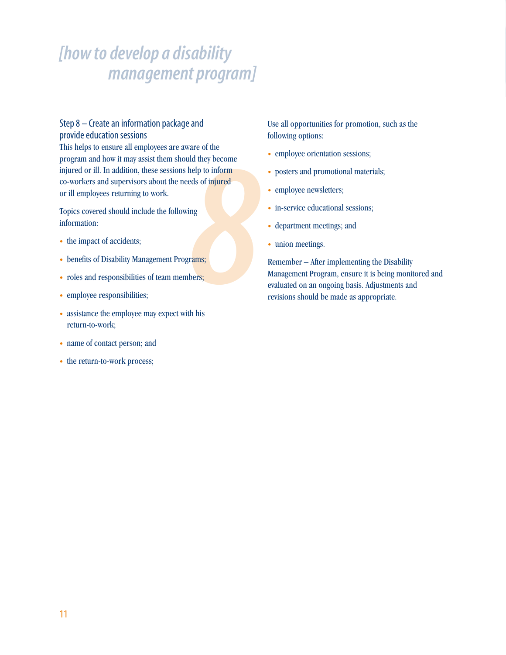### Step 8 – Create an information package and provide education sessions

*8* This helps to ensure all employees are aware of the program and how it may assist them should they become injured or ill. In addition, these sessions help to inform co-workers and supervisors about the needs of injured or ill employees returning to work.

Topics covered should include the following information:

- the impact of accidents;
- benefits of Disability Management Programs;
- roles and responsibilities of team members;
- employee responsibilities;
- assistance the employee may expect with his return-to-work;
- name of contact person; and
- the return-to-work process;

Use all opportunities for promotion, such as the following options:

- employee orientation sessions;
- posters and promotional materials;
- employee newsletters;
- in-service educational sessions;
- department meetings; and
- union meetings.

Remember – After implementing the Disability Management Program, ensure it is being monitored and evaluated on an ongoing basis. Adjustments and revisions should be made as appropriate.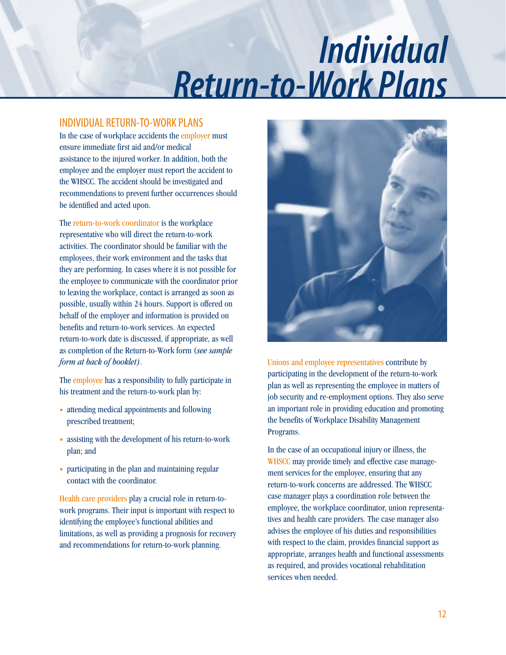## *Individual Return-to-Work Plans*

### INDIVIDUAL RETURN-TO-WORK PLANS

In the case of workplace accidents the employer must ensure immediate first aid and/or medical assistance to the injured worker. In addition, both the employee and the employer must report the accident to the WHSCC. The accident should be investigated and recommendations to prevent further occurrences should be identified and acted upon.

The return-to-work coordinator is the workplace representative who will direct the return-to-work activities. The coordinator should be familiar with the employees, their work environment and the tasks that they are performing. In cases where it is not possible for the employee to communicate with the coordinator prior to leaving the workplace, contact is arranged as soon as possible, usually within 24 hours. Support is offered on behalf of the employer and information is provided on benefits and return-to-work services. An expected return-to-work date is discussed, if appropriate, as well as completion of the Return-to-Work form (*see sample form at back of booklet)*.

The employee has a responsibility to fully participate in his treatment and the return-to-work plan by:

- attending medical appointments and following prescribed treatment;
- assisting with the development of his return-to-work plan; and
- participating in the plan and maintaining regular contact with the coordinator.

Health care providers play a crucial role in return-towork programs. Their input is important with respect to identifying the employee's functional abilities and limitations, as well as providing a prognosis for recovery and recommendations for return-to-work planning.



Unions and employee representatives contribute by participating in the development of the return-to-work plan as well as representing the employee in matters of job security and re-employment options. They also serve an important role in providing education and promoting the benefits of Workplace Disability Management Programs.

In the case of an occupational injury or illness, the WHSCC may provide timely and effective case management services for the employee, ensuring that any return-to-work concerns are addressed. The WHSCC case manager plays a coordination role between the employee, the workplace coordinator, union representatives and health care providers. The case manager also advises the employee of his duties and responsibilities with respect to the claim, provides financial support as appropriate, arranges health and functional assessments as required, and provides vocational rehabilitation services when needed.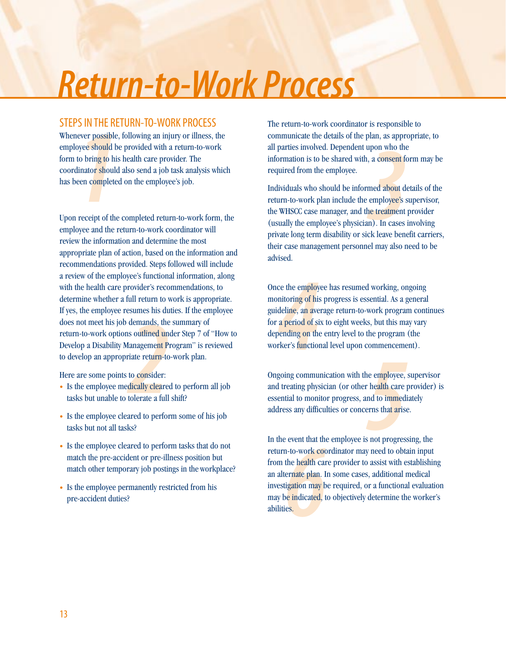## *Return-to-Work Process*

### STEPS IN THE RETURN-TO-WORK PROCESS

**111 IFLE KI**<br>
11 IFLE KI<br>
12 oyee should b<br>
12 to bring to hi<br>
10 dinator should<br>
12 oen complete<br>
12 receipt of the Whenever possible, following an injury or illness, the employee should be provided with a return-to-work form to bring to his health care provider. The coordinator should also send a job task analysis which has been completed on the employee's job.

demands, the<br>demands, the<br>soutlined un<br>fanagement P<br>riate return-to<br>to consider:<br>dically cleare<br>tolerate a full Upon receipt of the completed return-to-work form, the employee and the return-to-work coordinator will review the information and determine the most appropriate plan of action, based on the information and recommendations provided. Steps followed will include a review of the employee's functional information, along with the health care provider's recommendations, to determine whether a full return to work is appropriate. If yes, the employee resumes his duties. If the employee does not meet his job demands, the summary of return-to-work options outlined under Step 7 of "How to Develop a Disability Management Program" is reviewed to develop an appropriate return-to-work plan.

Here are some points to consider:

- Is the employee medically cleared to perform all job tasks but unable to tolerate a full shift?
- Is the employee cleared to perform some of his job tasks but not all tasks?
- Is the employee cleared to perform tasks that do not match the pre-accident or pre-illness position but match other temporary job postings in the workplace?
- Is the employee permanently restricted from his pre-accident duties?

The return-to-work coordinator is responsible to communicate the details of the plan, as appropriate, to all parties involved. Dependent upon who the information is to be shared with, a consent form may be required from the employee.

*3* Individuals who should be informed about details of the return-to-work plan include the employee's supervisor, the WHSCC case manager, and the treatment provider (usually the employee's physician). In cases involving private long term disability or sick leave benefit carriers, their case management personnel may also need to be advised.

re the employ<br>
intoring of his<br>
deline, an ave<br>
a period of si<br>
period of si<br>
period of the rive<br>
rker's function<br>
delines Once the employee has resumed working, ongoing monitoring of his progress is essential. As a general guideline, an average return-to-work program continues for a period of six to eight weeks, but this may vary depending on the entry level to the program (the worker's functional level upon commencement).

*f n f* **<b>***n f n f f <i>f smedient* **<b>***f f <i>f smedient <i>f <i>f***</del> <b>***<i>f <i>f***</del> <b>***<i>f <i>f <i>f***</del>** *<i>f***</del>** *<i>f <i>f**<i>f***</del>** *<i>f***</del>** *<i>f***</del>** *<i>f***</del> <b>***<i>f <i>f**<i>f***</del>** *<i>f***</del>** Ongoing communication with the employee, supervisor and treating physician (or other health care provider) is essential to monitor progress, and to immediately address any difficulties or concerns that arise.

Exercit that the health can<br>the health can<br>depend the health can<br>igation may be indicated, the section of the section<br>is section of the section of the section of the section of the section of the section of the section of In the event that the employee is not progressing, the return-to-work coordinator may need to obtain input from the health care provider to assist with establishing an alternate plan. In some cases, additional medical investigation may be required, or a functional evaluation may be indicated, to objectively determine the worker's abilities.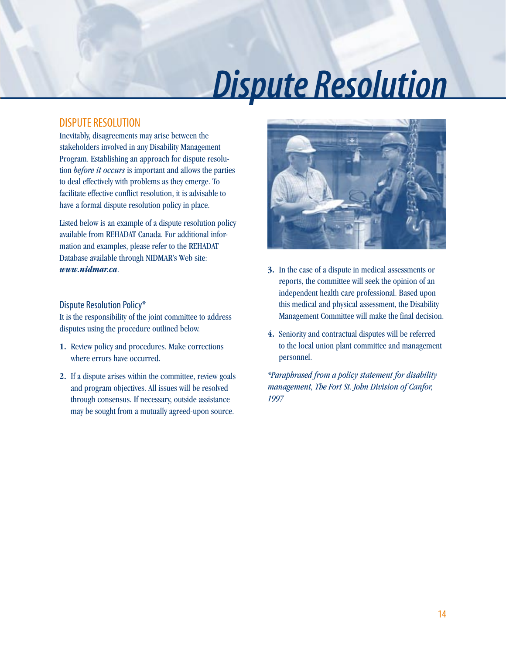## *Dispute Resolution*

### DISPUTE RESOLUTION

Inevitably, disagreements may arise between the stakeholders involved in any Disability Management Program. Establishing an approach for dispute resolution *before it occurs* is important and allows the parties to deal effectively with problems as they emerge. To facilitate effective conflict resolution, it is advisable to have a formal dispute resolution policy in place.

Listed below is an example of a dispute resolution policy available from REHADAT Canada. For additional information and examples, please refer to the REHADAT Database available through NIDMAR's Web site: *www.nidmar.ca*.

### Dispute Resolution Policy\*

It is the responsibility of the joint committee to address disputes using the procedure outlined below.

- **1.** Review policy and procedures. Make corrections where errors have occurred.
- **2.** If a dispute arises within the committee, review goals and program objectives. All issues will be resolved through consensus. If necessary, outside assistance may be sought from a mutually agreed-upon source.



- **3.** In the case of a dispute in medical assessments or reports, the committee will seek the opinion of an independent health care professional. Based upon this medical and physical assessment, the Disability Management Committee will make the final decision.
- **4.** Seniority and contractual disputes will be referred to the local union plant committee and management personnel.

*\*Paraphrased from a policy statement for disability management, The Fort St. John Division of Canfor, 1997*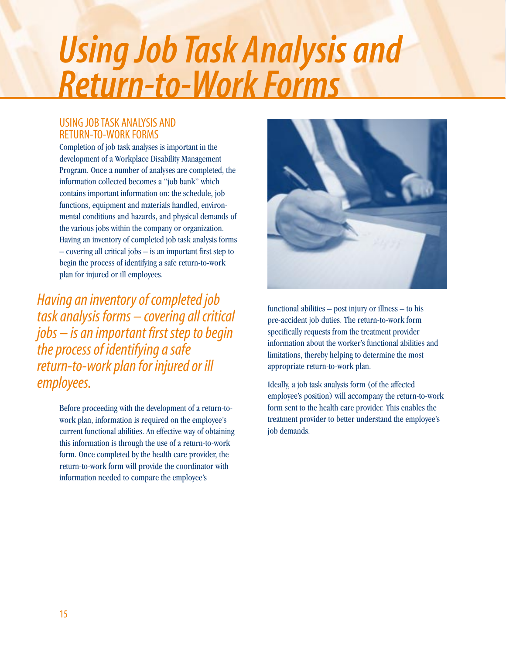## *Using Job Task Analysis and Return-to-Work Forms*

### USING JOB TASK ANALYSIS AND RETURN-TO-WORK FORMS

Completion of job task analyses is important in the development of a Workplace Disability Management Program. Once a number of analyses are completed, the information collected becomes a "job bank" which contains important information on: the schedule, job functions, equipment and materials handled, environmental conditions and hazards, and physical demands of the various jobs within the company or organization. Having an inventory of completed job task analysis forms – covering all critical jobs – is an important first step to begin the process of identifying a safe return-to-work plan for injured or ill employees.

*Having an inventory of completed job task analysis forms – covering all critical jobs – is an important first step to begin the process of identifying a safe return-to-work plan for injured or ill employees.*

> Before proceeding with the development of a return-towork plan, information is required on the employee's current functional abilities. An effective way of obtaining this information is through the use of a return-to-work form. Once completed by the health care provider, the return-to-work form will provide the coordinator with information needed to compare the employee's



functional abilities – post injury or illness – to his pre-accident job duties. The return-to-work form specifically requests from the treatment provider information about the worker's functional abilities and limitations, thereby helping to determine the most appropriate return-to-work plan.

Ideally, a job task analysis form (of the affected employee's position) will accompany the return-to-work form sent to the health care provider. This enables the treatment provider to better understand the employee's job demands.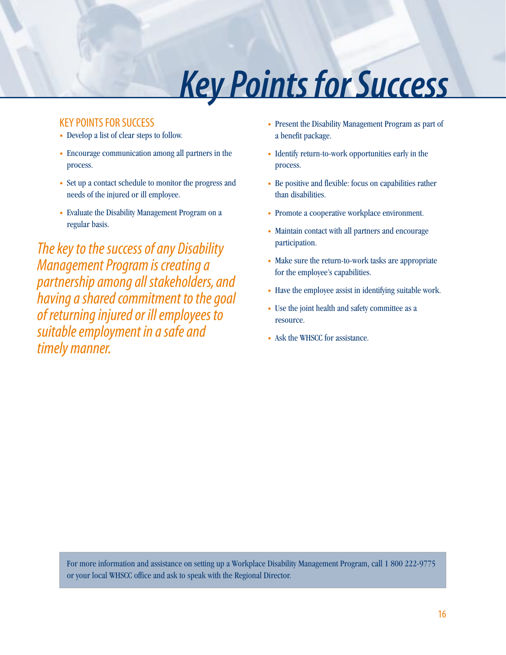## *Key Points for Success*

### KEY POINTS FOR SUCCESS

- Develop a list of clear steps to follow.
- Encourage communication among all partners in the process.
- Set up a contact schedule to monitor the progress and needs of the injured or ill employee.
- Evaluate the Disability Management Program on a regular basis.

*The key to the success of any Disability Management Program is creating a partnership among all stakeholders, and having a shared commitment to the goal of returning injured or ill employees to suitable employment in a safe and timely manner.*

- Present the Disability Management Program as part of a benefit package.
- Identify return-to-work opportunities early in the process.
- Be positive and flexible: focus on capabilities rather than disabilities.
- Promote a cooperative workplace environment.
- Maintain contact with all partners and encourage participation.
- Make sure the return-to-work tasks are appropriate for the employee's capabilities.
- Have the employee assist in identifying suitable work.
- Use the joint health and safety committee as a resource.
- Ask the WHSCC for assistance.

For more information and assistance on setting up a Workplace Disability Management Program, call 1 800 222-9775 or your local WHSCC office and ask to speak with the Regional Director.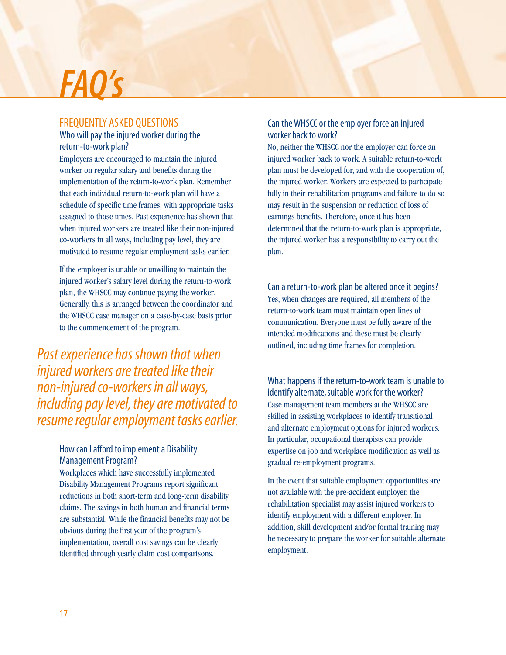## *FAQ's*

### FREQUENTLY ASKED QUESTIONS

### Who will pay the injured worker during the return-to-work plan?

Employers are encouraged to maintain the injured worker on regular salary and benefits during the implementation of the return-to-work plan. Remember that each individual return-to-work plan will have a schedule of specific time frames, with appropriate tasks assigned to those times. Past experience has shown that when injured workers are treated like their non-injured co-workers in all ways, including pay level, they are motivated to resume regular employment tasks earlier.

If the employer is unable or unwilling to maintain the injured worker's salary level during the return-to-work plan, the WHSCC may continue paying the worker. Generally, this is arranged between the coordinator and the WHSCC case manager on a case-by-case basis prior to the commencement of the program.

*Past experience has shown that when injured workers are treated like their non-injured co-workers in all ways, including pay level, they are motivated to resume regular employment tasks earlier.*

### How can I afford to implement a Disability Management Program?

Workplaces which have successfully implemented Disability Management Programs report significant reductions in both short-term and long-term disability claims. The savings in both human and financial terms are substantial. While the financial benefits may not be obvious during the first year of the program's implementation, overall cost savings can be clearly identified through yearly claim cost comparisons.

### Can the WHSCC or the employer force an injured worker back to work?

No, neither the WHSCC nor the employer can force an injured worker back to work. A suitable return-to-work plan must be developed for, and with the cooperation of, the injured worker. Workers are expected to participate fully in their rehabilitation programs and failure to do so may result in the suspension or reduction of loss of earnings benefits. Therefore, once it has been determined that the return-to-work plan is appropriate, the injured worker has a responsibility to carry out the plan.

Can a return-to-work plan be altered once it begins? Yes, when changes are required, all members of the return-to-work team must maintain open lines of communication. Everyone must be fully aware of the intended modifications and these must be clearly outlined, including time frames for completion.

What happens if the return-to-work team is unable to identify alternate, suitable work for the worker? Case management team members at the WHSCC are skilled in assisting workplaces to identify transitional and alternate employment options for injured workers. In particular, occupational therapists can provide expertise on job and workplace modification as well as gradual re-employment programs.

In the event that suitable employment opportunities are not available with the pre-accident employer, the rehabilitation specialist may assist injured workers to identify employment with a different employer. In addition, skill development and/or formal training may be necessary to prepare the worker for suitable alternate employment.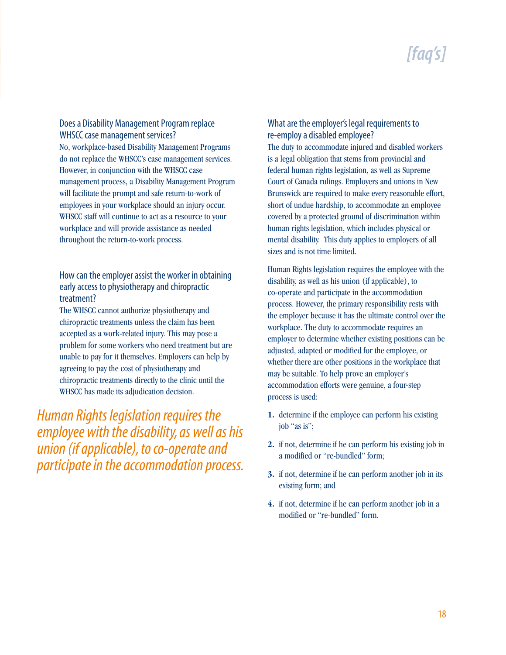### *[faq's]*

#### Does a Disability Management Program replace WHSCC case management services?

No, workplace-based Disability Management Programs do not replace the WHSCC's case management services. However, in conjunction with the WHSCC case management process, a Disability Management Program will facilitate the prompt and safe return-to-work of employees in your workplace should an injury occur. WHSCC staff will continue to act as a resource to your workplace and will provide assistance as needed throughout the return-to-work process.

### How can the employer assist the worker in obtaining early access to physiotherapy and chiropractic treatment?

The WHSCC cannot authorize physiotherapy and chiropractic treatments unless the claim has been accepted as a work-related injury. This may pose a problem for some workers who need treatment but are unable to pay for it themselves. Employers can help by agreeing to pay the cost of physiotherapy and chiropractic treatments directly to the clinic until the WHSCC has made its adjudication decision.

*Human Rights legislation requires the employee with the disability, as well as his union (if applicable), to co-operate and participate in the accommodation process.*

#### What are the employer's legal requirements to re-employ a disabled employee?

The duty to accommodate injured and disabled workers is a legal obligation that stems from provincial and federal human rights legislation, as well as Supreme Court of Canada rulings. Employers and unions in New Brunswick are required to make every reasonable effort, short of undue hardship, to accommodate an employee covered by a protected ground of discrimination within human rights legislation, which includes physical or mental disability. This duty applies to employers of all sizes and is not time limited.

Human Rights legislation requires the employee with the disability, as well as his union (if applicable), to co-operate and participate in the accommodation process. However, the primary responsibility rests with the employer because it has the ultimate control over the workplace. The duty to accommodate requires an employer to determine whether existing positions can be adjusted, adapted or modified for the employee, or whether there are other positions in the workplace that may be suitable. To help prove an employer's accommodation efforts were genuine, a four-step process is used:

- **1.** determine if the employee can perform his existing job "as is";
- **2.** if not, determine if he can perform his existing job in a modified or "re-bundled" form;
- **3.** if not, determine if he can perform another job in its existing form; and
- **4.** if not, determine if he can perform another job in a modified or "re-bundled" form.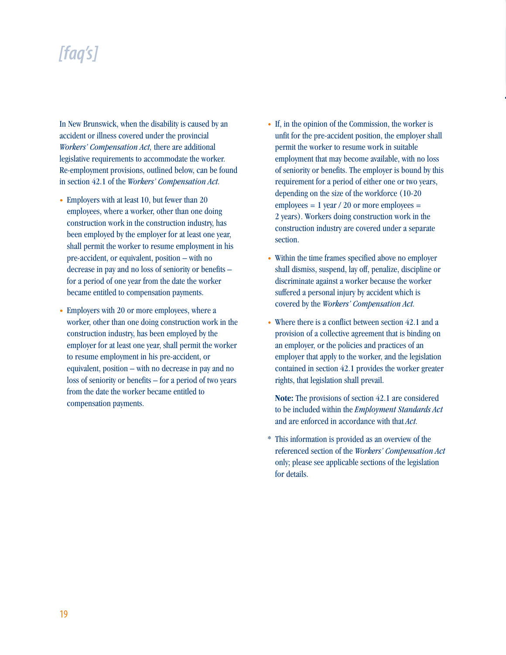### *[faq's]*

In New Brunswick, when the disability is caused by an accident or illness covered under the provincial *Workers' Compensation Act,* there are additional legislative requirements to accommodate the worker. Re-employment provisions, outlined below, can be found in section 42.1 of the *Workers' Compensation Act.*

- Employers with at least 10, but fewer than 20 employees, where a worker, other than one doing construction work in the construction industry, has been employed by the employer for at least one year, shall permit the worker to resume employment in his pre-accident, or equivalent, position – with no decrease in pay and no loss of seniority or benefits – for a period of one year from the date the worker became entitled to compensation payments.
- Employers with 20 or more employees, where a worker, other than one doing construction work in the construction industry, has been employed by the employer for at least one year, shall permit the worker to resume employment in his pre-accident, or equivalent, position – with no decrease in pay and no loss of seniority or benefits – for a period of two years from the date the worker became entitled to compensation payments.
- If, in the opinion of the Commission, the worker is unfit for the pre-accident position, the employer shall permit the worker to resume work in suitable employment that may become available, with no loss of seniority or benefits. The employer is bound by this requirement for a period of either one or two years, depending on the size of the workforce (10-20 employees  $= 1$  year / 20 or more employees  $=$ 2 years). Workers doing construction work in the construction industry are covered under a separate section.
- Within the time frames specified above no employer shall dismiss, suspend, lay off, penalize, discipline or discriminate against a worker because the worker suffered a personal injury by accident which is covered by the *Workers' Compensation Act.*
- Where there is a conflict between section 42.1 and a provision of a collective agreement that is binding on an employer, or the policies and practices of an employer that apply to the worker, and the legislation contained in section 42.1 provides the worker greater rights, that legislation shall prevail.

**Note:** The provisions of section 42.1 are considered to be included within the *Employment Standards Act* and are enforced in accordance with that *Act.*

\* This information is provided as an overview of the referenced section of the *Workers' Compensation Act* only; please see applicable sections of the legislation for details.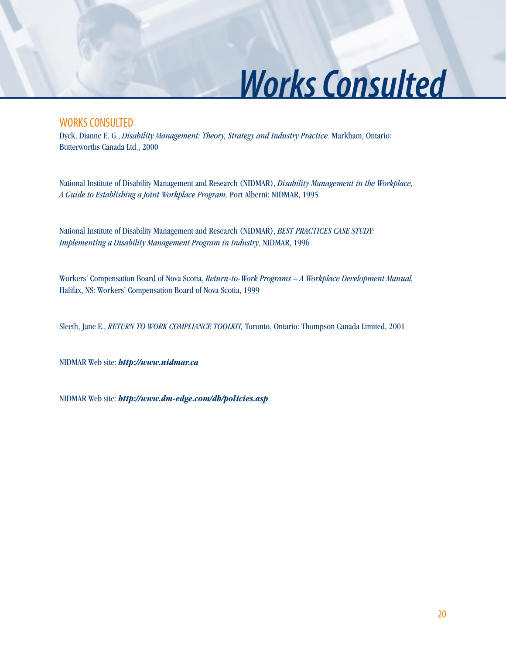## *Works Consulted*

### WORKS CONSULTED

Dyck, Dianne E. G., *Disability Management: Theory, Strategy and Industry Practice.* Markham, Ontario: Butterworths Canada Ltd., 2000

National Institute of Disability Management and Research (NIDMAR), *Disability Management in the Workplace, A Guide to Establishing a Joint Workplace Program,* Port Alberni: NIDMAR, 1995

National Institute of Disability Management and Research (NIDMAR), *BEST PRACTICES CASE STUDY: Implementing a Disability Management Program in Industry*, NIDMAR, 1996

Workers' Compensation Board of Nova Scotia, *Return-to-Work Programs – A Workplace Development Manual,* Halifax, NS: Workers' Compensation Board of Nova Scotia, 1999

Sleeth, Jane E., *RETURN TO WORK COMPLIANCE TOOLKIT,* Toronto, Ontario: Thompson Canada Limited, 2001

NIDMAR Web site: *http://www.nidmar.ca*

NIDMAR Web site: *http://www.dm-edge.com/db/policies.asp*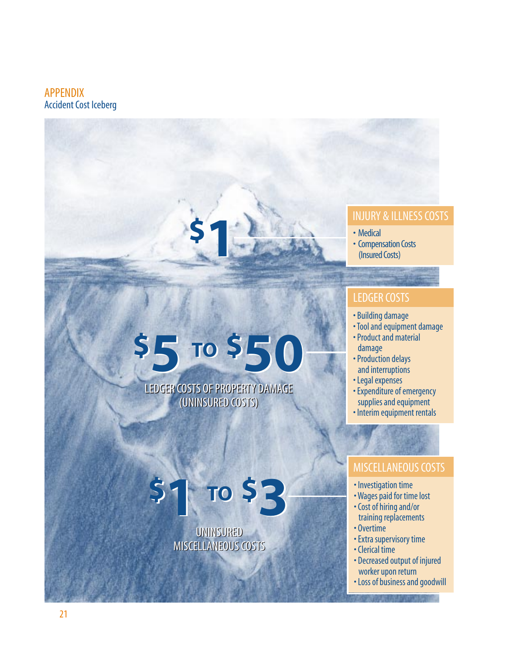### APPENDIX Accident Cost Iceberg

### INJURY & ILLNESS COSTS

• Medical

• Compensation Costs (Insured Costs)

### LEDGER COSTS

- Building damage
- Tool and equipment damage
- Product and material damage
- Production delays and interruptions
- Legal expenses
- Expenditure of emergency supplies and equipment
- Interim equipment rentals

### MISCELLANEOUS COSTS

- Investigation time
- Wages paid for time lost
- Cost of hiring and/or training replacements
- Overtime
- Extra supervisory time
- Clerical time
- Decreased output of injured worker upon return
- Loss of business and goodwill

LEDGER COSTS OF PROPERTY DAMAGE LEDGER COSTS OF PROPERTY DAMAGE  $$5 v$50$ 

**\$1**

### (UNINSURED COSTS) (UNINSURED COSTS)

### UNINSURED UNINSURED MISCELLANEOUS COSTS MISCELLANEOUS COSTS **\$1 TO \$3 \$1 TO \$3**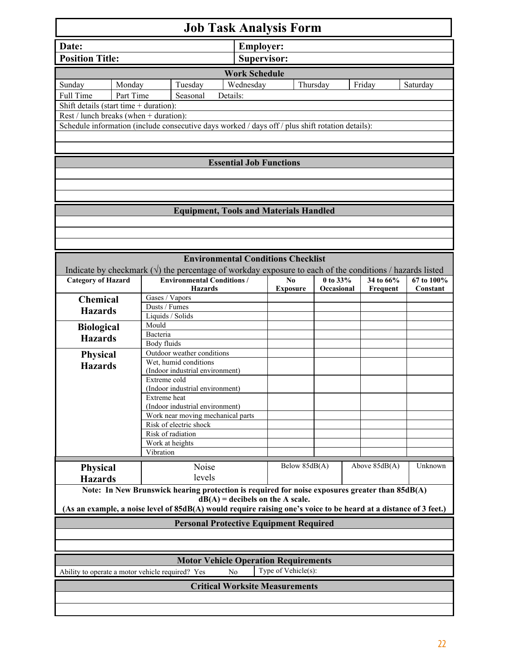| <b>Job Task Analysis Form</b>                                                                                                                          |                  |                                      |                                           |                 |               |            |  |               |            |  |  |  |
|--------------------------------------------------------------------------------------------------------------------------------------------------------|------------------|--------------------------------------|-------------------------------------------|-----------------|---------------|------------|--|---------------|------------|--|--|--|
| Date:                                                                                                                                                  | <b>Employer:</b> |                                      |                                           |                 |               |            |  |               |            |  |  |  |
| <b>Position Title:</b>                                                                                                                                 |                  |                                      |                                           | Supervisor:     |               |            |  |               |            |  |  |  |
| <b>Work Schedule</b>                                                                                                                                   |                  |                                      |                                           |                 |               |            |  |               |            |  |  |  |
|                                                                                                                                                        |                  |                                      |                                           |                 |               |            |  |               |            |  |  |  |
| Sunday                                                                                                                                                 | Monday           | Tuesday                              | Wednesday                                 |                 | Thursday      |            |  | Friday        | Saturday   |  |  |  |
| Full Time                                                                                                                                              | Part Time        | Seasonal                             | Details:                                  |                 |               |            |  |               |            |  |  |  |
| Shift details (start time $+$ duration):                                                                                                               |                  |                                      |                                           |                 |               |            |  |               |            |  |  |  |
| Rest / lunch breaks (when + duration):<br>Schedule information (include consecutive days worked / days off / plus shift rotation details):             |                  |                                      |                                           |                 |               |            |  |               |            |  |  |  |
|                                                                                                                                                        |                  |                                      |                                           |                 |               |            |  |               |            |  |  |  |
|                                                                                                                                                        |                  |                                      |                                           |                 |               |            |  |               |            |  |  |  |
| <b>Essential Job Functions</b>                                                                                                                         |                  |                                      |                                           |                 |               |            |  |               |            |  |  |  |
|                                                                                                                                                        |                  |                                      |                                           |                 |               |            |  |               |            |  |  |  |
|                                                                                                                                                        |                  |                                      |                                           |                 |               |            |  |               |            |  |  |  |
|                                                                                                                                                        |                  |                                      |                                           |                 |               |            |  |               |            |  |  |  |
| <b>Equipment, Tools and Materials Handled</b>                                                                                                          |                  |                                      |                                           |                 |               |            |  |               |            |  |  |  |
|                                                                                                                                                        |                  |                                      |                                           |                 |               |            |  |               |            |  |  |  |
|                                                                                                                                                        |                  |                                      |                                           |                 |               |            |  |               |            |  |  |  |
|                                                                                                                                                        |                  |                                      |                                           |                 |               |            |  |               |            |  |  |  |
|                                                                                                                                                        |                  |                                      | <b>Environmental Conditions Checklist</b> |                 |               |            |  |               |            |  |  |  |
| Indicate by checkmark $(\sqrt{})$ the percentage of workday exposure to each of the conditions / hazards listed                                        |                  |                                      |                                           |                 |               |            |  |               |            |  |  |  |
| <b>Category of Hazard</b>                                                                                                                              |                  | <b>Environmental Conditions /</b>    |                                           | No              |               | 0 to 33%   |  | 34 to 66%     | 67 to 100% |  |  |  |
|                                                                                                                                                        |                  | <b>Hazards</b>                       |                                           | <b>Exposure</b> |               | Occasional |  | Frequent      | Constant   |  |  |  |
| Chemical                                                                                                                                               |                  | Gases / Vapors                       |                                           |                 |               |            |  |               |            |  |  |  |
| <b>Hazards</b>                                                                                                                                         | Dusts / Fumes    |                                      |                                           |                 |               |            |  |               |            |  |  |  |
|                                                                                                                                                        | Mould            | Liquids / Solids                     |                                           |                 |               |            |  |               |            |  |  |  |
| <b>Biological</b>                                                                                                                                      | Bacteria         |                                      |                                           |                 |               |            |  |               |            |  |  |  |
| <b>Hazards</b>                                                                                                                                         |                  | Body fluids                          |                                           |                 |               |            |  |               |            |  |  |  |
| <b>Physical</b>                                                                                                                                        |                  | Outdoor weather conditions           |                                           |                 |               |            |  |               |            |  |  |  |
| <b>Hazards</b>                                                                                                                                         |                  | Wet, humid conditions                |                                           |                 |               |            |  |               |            |  |  |  |
|                                                                                                                                                        | Extreme cold     | (Indoor industrial environment)      |                                           |                 |               |            |  |               |            |  |  |  |
|                                                                                                                                                        |                  | (Indoor industrial environment)      |                                           |                 |               |            |  |               |            |  |  |  |
|                                                                                                                                                        | Extreme heat     |                                      |                                           |                 |               |            |  |               |            |  |  |  |
|                                                                                                                                                        |                  | (Indoor industrial environment)      |                                           |                 |               |            |  |               |            |  |  |  |
|                                                                                                                                                        |                  | Work near moving mechanical parts    |                                           |                 |               |            |  |               |            |  |  |  |
|                                                                                                                                                        |                  | Risk of electric shock               |                                           |                 |               |            |  |               |            |  |  |  |
|                                                                                                                                                        |                  | Risk of radiation<br>Work at heights |                                           |                 |               |            |  |               |            |  |  |  |
|                                                                                                                                                        | Vibration        |                                      |                                           |                 |               |            |  |               |            |  |  |  |
|                                                                                                                                                        |                  | Noise                                |                                           |                 | Below 85dB(A) |            |  | Above 85dB(A) | Unknown    |  |  |  |
| <b>Physical</b>                                                                                                                                        |                  | levels                               |                                           |                 |               |            |  |               |            |  |  |  |
| <b>Hazards</b>                                                                                                                                         |                  |                                      |                                           |                 |               |            |  |               |            |  |  |  |
| Note: In New Brunswick hearing protection is required for noise exposures greater than 85dB(A)                                                         |                  |                                      |                                           |                 |               |            |  |               |            |  |  |  |
| $dB(A)$ = decibels on the A scale.<br>(As an example, a noise level of 85dB(A) would require raising one's voice to be heard at a distance of 3 feet.) |                  |                                      |                                           |                 |               |            |  |               |            |  |  |  |
|                                                                                                                                                        |                  |                                      |                                           |                 |               |            |  |               |            |  |  |  |
| <b>Personal Protective Equipment Required</b>                                                                                                          |                  |                                      |                                           |                 |               |            |  |               |            |  |  |  |
|                                                                                                                                                        |                  |                                      |                                           |                 |               |            |  |               |            |  |  |  |
|                                                                                                                                                        |                  |                                      |                                           |                 |               |            |  |               |            |  |  |  |
| <b>Motor Vehicle Operation Requirements</b>                                                                                                            |                  |                                      |                                           |                 |               |            |  |               |            |  |  |  |
| Type of Vehicle(s):<br>Ability to operate a motor vehicle required? Yes<br>N <sub>0</sub>                                                              |                  |                                      |                                           |                 |               |            |  |               |            |  |  |  |
| <b>Critical Worksite Measurements</b>                                                                                                                  |                  |                                      |                                           |                 |               |            |  |               |            |  |  |  |
|                                                                                                                                                        |                  |                                      |                                           |                 |               |            |  |               |            |  |  |  |
|                                                                                                                                                        |                  |                                      |                                           |                 |               |            |  |               |            |  |  |  |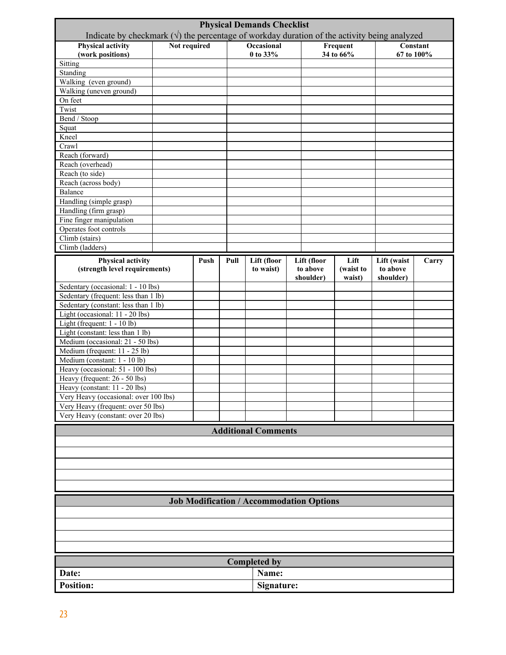| <b>Physical Demands Checklist</b><br>Indicate by checkmark $(\sqrt{})$ the percentage of workday duration of the activity being analyzed |              |      |            |                            |          |             |           |             |       |  |  |
|------------------------------------------------------------------------------------------------------------------------------------------|--------------|------|------------|----------------------------|----------|-------------|-----------|-------------|-------|--|--|
| <b>Physical activity</b>                                                                                                                 | Not required |      |            | Occasional                 |          |             | Frequent  | Constant    |       |  |  |
| (work positions)                                                                                                                         |              |      |            | 0 to 33%                   |          |             | 34 to 66% | 67 to 100%  |       |  |  |
| Sitting                                                                                                                                  |              |      |            |                            |          |             |           |             |       |  |  |
| Standing                                                                                                                                 |              |      |            |                            |          |             |           |             |       |  |  |
| Walking (even ground)                                                                                                                    |              |      |            |                            |          |             |           |             |       |  |  |
| Walking (uneven ground)                                                                                                                  |              |      |            |                            |          |             |           |             |       |  |  |
| On feet                                                                                                                                  |              |      |            |                            |          |             |           |             |       |  |  |
| Twist                                                                                                                                    |              |      |            |                            |          |             |           |             |       |  |  |
| Bend / Stoop                                                                                                                             |              |      |            |                            |          |             |           |             |       |  |  |
| Squat<br>Kneel                                                                                                                           |              |      |            |                            |          |             |           |             |       |  |  |
| Crawl                                                                                                                                    |              |      |            |                            |          |             |           |             |       |  |  |
| Reach (forward)                                                                                                                          |              |      |            |                            |          |             |           |             |       |  |  |
| Reach (overhead)                                                                                                                         |              |      |            |                            |          |             |           |             |       |  |  |
| Reach (to side)                                                                                                                          |              |      |            |                            |          |             |           |             |       |  |  |
| Reach (across body)                                                                                                                      |              |      |            |                            |          |             |           |             |       |  |  |
| Balance                                                                                                                                  |              |      |            |                            |          |             |           |             |       |  |  |
| Handling (simple grasp)                                                                                                                  |              |      |            |                            |          |             |           |             |       |  |  |
| Handling (firm grasp)                                                                                                                    |              |      |            |                            |          |             |           |             |       |  |  |
| Fine finger manipulation                                                                                                                 |              |      |            |                            |          |             |           |             |       |  |  |
| Operates foot controls                                                                                                                   |              |      |            |                            |          |             |           |             |       |  |  |
| Climb (stairs)                                                                                                                           |              |      |            |                            |          |             |           |             |       |  |  |
| Climb (ladders)                                                                                                                          |              |      |            |                            |          |             |           |             |       |  |  |
| <b>Physical activity</b>                                                                                                                 |              | Push | Pull       | Lift (floor                |          | Lift (floor | Lift      | Lift (waist | Carry |  |  |
| (strength level requirements)                                                                                                            |              |      |            | to waist)                  | to above |             | (waist to | to above    |       |  |  |
|                                                                                                                                          |              |      |            |                            |          | shoulder)   | waist)    | shoulder)   |       |  |  |
| Sedentary (occasional: 1 - 10 lbs)                                                                                                       |              |      |            |                            |          |             |           |             |       |  |  |
| Sedentary (frequent: less than 1 lb)                                                                                                     |              |      |            |                            |          |             |           |             |       |  |  |
| Sedentary (constant: less than 1 lb)                                                                                                     |              |      |            |                            |          |             |           |             |       |  |  |
| Light (occasional: 11 - 20 lbs)                                                                                                          |              |      |            |                            |          |             |           |             |       |  |  |
| Light (frequent: 1 - 10 lb)<br>Light (constant: less than $1 lb$ )                                                                       |              |      |            |                            |          |             |           |             |       |  |  |
| Medium (occasional: 21 - 50 lbs)                                                                                                         |              |      |            |                            |          |             |           |             |       |  |  |
| Medium (frequent: 11 - 25 lb)                                                                                                            |              |      |            |                            |          |             |           |             |       |  |  |
| Medium (constant: 1 - 10 lb)                                                                                                             |              |      |            |                            |          |             |           |             |       |  |  |
| Heavy (occasional: 51 - 100 lbs)                                                                                                         |              |      |            |                            |          |             |           |             |       |  |  |
| Heavy (frequent: 26 - 50 lbs)                                                                                                            |              |      |            |                            |          |             |           |             |       |  |  |
| Heavy (constant: 11 - 20 lbs)                                                                                                            |              |      |            |                            |          |             |           |             |       |  |  |
| Very Heavy (occasional: over 100 lbs)                                                                                                    |              |      |            |                            |          |             |           |             |       |  |  |
| Very Heavy (frequent: over 50 lbs)                                                                                                       |              |      |            |                            |          |             |           |             |       |  |  |
| Very Heavy (constant: over 20 lbs)                                                                                                       |              |      |            |                            |          |             |           |             |       |  |  |
|                                                                                                                                          |              |      |            | <b>Additional Comments</b> |          |             |           |             |       |  |  |
|                                                                                                                                          |              |      |            |                            |          |             |           |             |       |  |  |
|                                                                                                                                          |              |      |            |                            |          |             |           |             |       |  |  |
|                                                                                                                                          |              |      |            |                            |          |             |           |             |       |  |  |
|                                                                                                                                          |              |      |            |                            |          |             |           |             |       |  |  |
|                                                                                                                                          |              |      |            |                            |          |             |           |             |       |  |  |
|                                                                                                                                          |              |      |            |                            |          |             |           |             |       |  |  |
|                                                                                                                                          |              |      |            |                            |          |             |           |             |       |  |  |
| <b>Job Modification / Accommodation Options</b>                                                                                          |              |      |            |                            |          |             |           |             |       |  |  |
|                                                                                                                                          |              |      |            |                            |          |             |           |             |       |  |  |
|                                                                                                                                          |              |      |            |                            |          |             |           |             |       |  |  |
|                                                                                                                                          |              |      |            |                            |          |             |           |             |       |  |  |
|                                                                                                                                          |              |      |            |                            |          |             |           |             |       |  |  |
|                                                                                                                                          |              |      |            |                            |          |             |           |             |       |  |  |
| <b>Completed by</b>                                                                                                                      |              |      |            |                            |          |             |           |             |       |  |  |
| Date:                                                                                                                                    |              |      |            | Name:                      |          |             |           |             |       |  |  |
| <b>Position:</b>                                                                                                                         |              |      | Signature: |                            |          |             |           |             |       |  |  |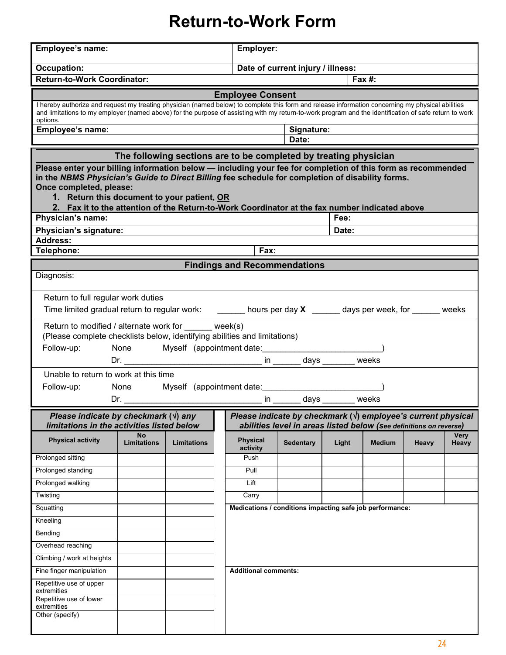### **Return-to-Work Form**

| Employee's name:                                                                                                                                                                                                                                                                                                                                                                                                                                                                          | <b>Employer:</b>                  |                                                                                                                                            |                                                          |                  |       |               |       |               |  |  |  |
|-------------------------------------------------------------------------------------------------------------------------------------------------------------------------------------------------------------------------------------------------------------------------------------------------------------------------------------------------------------------------------------------------------------------------------------------------------------------------------------------|-----------------------------------|--------------------------------------------------------------------------------------------------------------------------------------------|----------------------------------------------------------|------------------|-------|---------------|-------|---------------|--|--|--|
| <b>Occupation:</b>                                                                                                                                                                                                                                                                                                                                                                                                                                                                        | Date of current injury / illness: |                                                                                                                                            |                                                          |                  |       |               |       |               |  |  |  |
| <b>Return-to-Work Coordinator:</b>                                                                                                                                                                                                                                                                                                                                                                                                                                                        |                                   |                                                                                                                                            | Fax $#$ :                                                |                  |       |               |       |               |  |  |  |
| <b>Employee Consent</b>                                                                                                                                                                                                                                                                                                                                                                                                                                                                   |                                   |                                                                                                                                            |                                                          |                  |       |               |       |               |  |  |  |
| I hereby authorize and request my treating physician (named below) to complete this form and release information concerning my physical abilities<br>and limitations to my employer (named above) for the purpose of assisting with my return-to-work program and the identification of safe return to work<br>options.                                                                                                                                                                   |                                   |                                                                                                                                            |                                                          |                  |       |               |       |               |  |  |  |
| Employee's name:<br>Signature:                                                                                                                                                                                                                                                                                                                                                                                                                                                            |                                   |                                                                                                                                            |                                                          |                  |       |               |       |               |  |  |  |
| Date:                                                                                                                                                                                                                                                                                                                                                                                                                                                                                     |                                   |                                                                                                                                            |                                                          |                  |       |               |       |               |  |  |  |
| The following sections are to be completed by treating physician                                                                                                                                                                                                                                                                                                                                                                                                                          |                                   |                                                                                                                                            |                                                          |                  |       |               |       |               |  |  |  |
| Please enter your billing information below - including your fee for completion of this form as recommended<br>in the NBMS Physician's Guide to Direct Billing fee schedule for completion of disability forms.<br>Once completed, please:<br>1. Return this document to your patient, OR<br>2. Fax it to the attention of the Return-to-Work Coordinator at the fax number indicated above                                                                                               |                                   |                                                                                                                                            |                                                          |                  |       |               |       |               |  |  |  |
| Physician's name:                                                                                                                                                                                                                                                                                                                                                                                                                                                                         |                                   |                                                                                                                                            |                                                          |                  | Fee:  |               |       |               |  |  |  |
| Physician's signature:                                                                                                                                                                                                                                                                                                                                                                                                                                                                    |                                   |                                                                                                                                            |                                                          |                  | Date: |               |       |               |  |  |  |
| <b>Address:</b>                                                                                                                                                                                                                                                                                                                                                                                                                                                                           |                                   |                                                                                                                                            |                                                          |                  |       |               |       |               |  |  |  |
| Telephone:                                                                                                                                                                                                                                                                                                                                                                                                                                                                                |                                   |                                                                                                                                            | Fax:                                                     |                  |       |               |       |               |  |  |  |
| <b>Findings and Recommendations</b>                                                                                                                                                                                                                                                                                                                                                                                                                                                       |                                   |                                                                                                                                            |                                                          |                  |       |               |       |               |  |  |  |
| Diagnosis:                                                                                                                                                                                                                                                                                                                                                                                                                                                                                |                                   |                                                                                                                                            |                                                          |                  |       |               |       |               |  |  |  |
| Return to full regular work duties<br>Time limited gradual return to regular work: _______ hours per day X ______ days per week, for ______ weeks<br>Return to modified / alternate work for week(s)<br>(Please complete checklists below, identifying abilities and limitations)<br>Follow-up:<br>None<br>Myself (appointment date:<br>Dr.<br>Unable to return to work at this time<br>None<br>Follow-up:<br>Myself (appointment date:<br>in _______ days ______ weeks<br>Dr. Dr. Denver |                                   |                                                                                                                                            |                                                          |                  |       |               |       |               |  |  |  |
| Please indicate by checkmark $(\forall)$ any<br>limitations in the activities listed below                                                                                                                                                                                                                                                                                                                                                                                                |                                   | Please indicate by checkmark $(\sqrt{})$ employee's current physical<br>abilities level in areas listed below (See definitions on reverse) |                                                          |                  |       |               |       |               |  |  |  |
| <b>Physical activity</b>                                                                                                                                                                                                                                                                                                                                                                                                                                                                  | <b>No</b><br><b>Limitations</b>   | <b>Limitations</b>                                                                                                                         | <b>Physical</b><br>activity                              | <b>Sedentary</b> | Light | <b>Medium</b> | Heavy | Very<br>Heavy |  |  |  |
| Prolonged sitting                                                                                                                                                                                                                                                                                                                                                                                                                                                                         |                                   |                                                                                                                                            | Push                                                     |                  |       |               |       |               |  |  |  |
| Prolonged standing                                                                                                                                                                                                                                                                                                                                                                                                                                                                        |                                   |                                                                                                                                            | Pull                                                     |                  |       |               |       |               |  |  |  |
| Prolonged walking                                                                                                                                                                                                                                                                                                                                                                                                                                                                         |                                   |                                                                                                                                            | Lift                                                     |                  |       |               |       |               |  |  |  |
| Twisting                                                                                                                                                                                                                                                                                                                                                                                                                                                                                  |                                   |                                                                                                                                            | Carry                                                    |                  |       |               |       |               |  |  |  |
| Squatting                                                                                                                                                                                                                                                                                                                                                                                                                                                                                 |                                   |                                                                                                                                            |                                                          |                  |       |               |       |               |  |  |  |
| Kneeling                                                                                                                                                                                                                                                                                                                                                                                                                                                                                  |                                   |                                                                                                                                            | Medications / conditions impacting safe job performance: |                  |       |               |       |               |  |  |  |
| Bending                                                                                                                                                                                                                                                                                                                                                                                                                                                                                   |                                   |                                                                                                                                            |                                                          |                  |       |               |       |               |  |  |  |
| Overhead reaching                                                                                                                                                                                                                                                                                                                                                                                                                                                                         |                                   |                                                                                                                                            |                                                          |                  |       |               |       |               |  |  |  |
| Climbing / work at heights                                                                                                                                                                                                                                                                                                                                                                                                                                                                |                                   |                                                                                                                                            |                                                          |                  |       |               |       |               |  |  |  |
|                                                                                                                                                                                                                                                                                                                                                                                                                                                                                           | <b>Additional comments:</b>       |                                                                                                                                            |                                                          |                  |       |               |       |               |  |  |  |
| Fine finger manipulation<br>Repetitive use of upper<br>extremities<br>Repetitive use of lower<br>extremities<br>Other (specify)                                                                                                                                                                                                                                                                                                                                                           |                                   |                                                                                                                                            |                                                          |                  |       |               |       |               |  |  |  |
|                                                                                                                                                                                                                                                                                                                                                                                                                                                                                           |                                   |                                                                                                                                            |                                                          |                  |       |               |       |               |  |  |  |